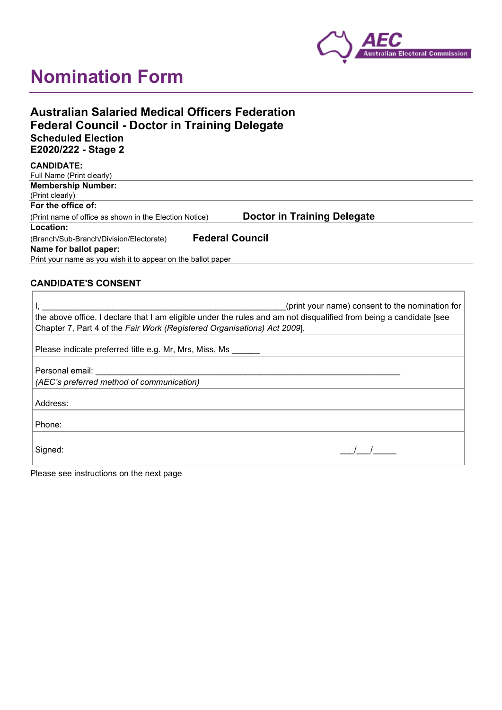

# **Nomination Form**

| <b>Australian Salaried Medical Officers Federation</b> |  |
|--------------------------------------------------------|--|
| <b>Federal Council - Doctor in Training Delegate</b>   |  |
| <b>Scheduled Election</b>                              |  |
| E2020/222 - Stage 2                                    |  |

| <b>CANDIDATE:</b>                                            |                                    |
|--------------------------------------------------------------|------------------------------------|
| Full Name (Print clearly)                                    |                                    |
| <b>Membership Number:</b>                                    |                                    |
| (Print clearly)                                              |                                    |
| For the office of:                                           |                                    |
| (Print name of office as shown in the Election Notice)       | <b>Doctor in Training Delegate</b> |
| Location:                                                    |                                    |
| (Branch/Sub-Branch/Division/Electorate)                      | <b>Federal Council</b>             |
| Name for ballot paper:                                       |                                    |
| Print your name as you wish it to appear on the ballot paper |                                    |

# **CANDIDATE'S CONSENT**

| (print your name) consent to the nomination for                                                                                                                                                                                |
|--------------------------------------------------------------------------------------------------------------------------------------------------------------------------------------------------------------------------------|
| the above office. I declare that I am eligible under the rules and am not disqualified from being a candidate [see<br>Chapter 7, Part 4 of the Fair Work (Registered Organisations) Act 2009].                                 |
| Please indicate preferred title e.g. Mr, Mrs, Miss, Ms                                                                                                                                                                         |
| Personal email: explorer and the property of the property of the property of the property of the property of the property of the property of the property of the property of the property of the property of the property of t |
| (AEC's preferred method of communication)                                                                                                                                                                                      |
| Address:                                                                                                                                                                                                                       |
| Phone:                                                                                                                                                                                                                         |
| Signed:                                                                                                                                                                                                                        |

Please see instructions on the next page